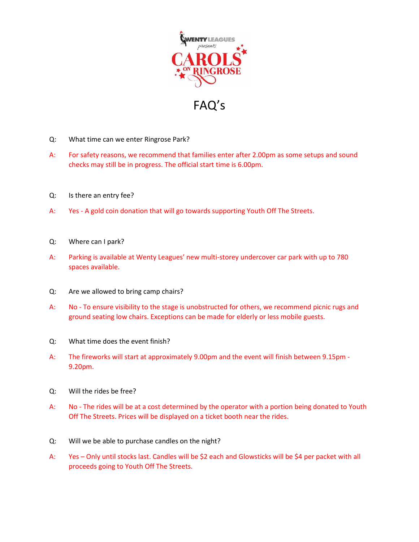

FAQ's

- Q: What time can we enter Ringrose Park?
- A: For safety reasons, we recommend that families enter after 2.00pm as some setups and sound checks may still be in progress. The official start time is 6.00pm.
- Q: Is there an entry fee?
- A: Yes A gold coin donation that will go towards supporting Youth Off The Streets.
- Q: Where can I park?
- A: Parking is available at Wenty Leagues' new multi-storey undercover car park with up to 780 spaces available.
- Q: Are we allowed to bring camp chairs?
- A: No To ensure visibility to the stage is unobstructed for others, we recommend picnic rugs and ground seating low chairs. Exceptions can be made for elderly or less mobile guests.
- Q: What time does the event finish?
- A: The fireworks will start at approximately 9.00pm and the event will finish between 9.15pm 9.20pm.
- Q: Will the rides be free?
- A: No The rides will be at a cost determined by the operator with a portion being donated to Youth Off The Streets. Prices will be displayed on a ticket booth near the rides.
- Q: Will we be able to purchase candles on the night?
- A: Yes Only until stocks last. Candles will be \$2 each and Glowsticks will be \$4 per packet with all proceeds going to Youth Off The Streets.